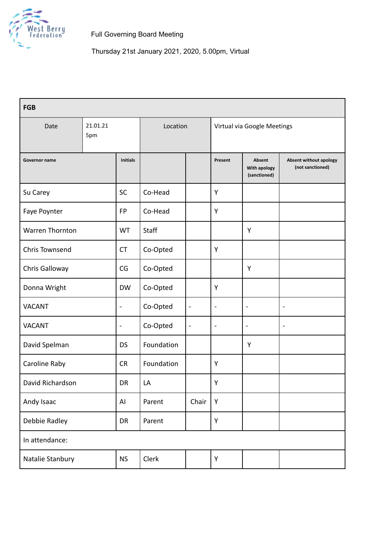

Thursday 21st January 2021, 2020, 5.00pm, Virtual

| <b>FGB</b>            |                 |                 |            |                              |                             |                                        |                                                   |  |  |
|-----------------------|-----------------|-----------------|------------|------------------------------|-----------------------------|----------------------------------------|---------------------------------------------------|--|--|
| Date                  | 21.01.21<br>5pm |                 | Location   |                              | Virtual via Google Meetings |                                        |                                                   |  |  |
| Governor name         |                 | <b>Initials</b> |            |                              | Present                     | Absent<br>With apology<br>(sanctioned) | <b>Absent without apology</b><br>(not sanctioned) |  |  |
| Su Carey              |                 | <b>SC</b>       | Co-Head    |                              | Y                           |                                        |                                                   |  |  |
| Faye Poynter          |                 | <b>FP</b>       | Co-Head    |                              | Y                           |                                        |                                                   |  |  |
| Warren Thornton       |                 | <b>WT</b>       | Staff      |                              |                             | Y                                      |                                                   |  |  |
| <b>Chris Townsend</b> |                 | <b>CT</b>       | Co-Opted   |                              | Y                           |                                        |                                                   |  |  |
| Chris Galloway        |                 | CG              | Co-Opted   |                              |                             | Y                                      |                                                   |  |  |
| Donna Wright          |                 | <b>DW</b>       | Co-Opted   |                              | Y                           |                                        |                                                   |  |  |
| <b>VACANT</b>         |                 | -               | Co-Opted   | $\qquad \qquad \blacksquare$ | $\overline{\phantom{0}}$    | $\blacksquare$                         | $\blacksquare$                                    |  |  |
| <b>VACANT</b>         |                 | $\blacksquare$  | Co-Opted   | $\blacksquare$               | $\blacksquare$              | $\blacksquare$                         | $\qquad \qquad \blacksquare$                      |  |  |
| David Spelman         |                 | <b>DS</b>       | Foundation |                              |                             | Y                                      |                                                   |  |  |
| Caroline Raby         |                 | <b>CR</b>       | Foundation |                              | Y                           |                                        |                                                   |  |  |
| David Richardson      |                 | DR              | LA         |                              | Υ                           |                                        |                                                   |  |  |
| Andy Isaac            |                 | AI              | Parent     | Chair                        | Y                           |                                        |                                                   |  |  |
| Debbie Radley         |                 | DR              | Parent     |                              | Υ                           |                                        |                                                   |  |  |
| In attendance:        |                 |                 |            |                              |                             |                                        |                                                   |  |  |
| Natalie Stanbury      |                 | <b>NS</b>       | Clerk      |                              | Υ                           |                                        |                                                   |  |  |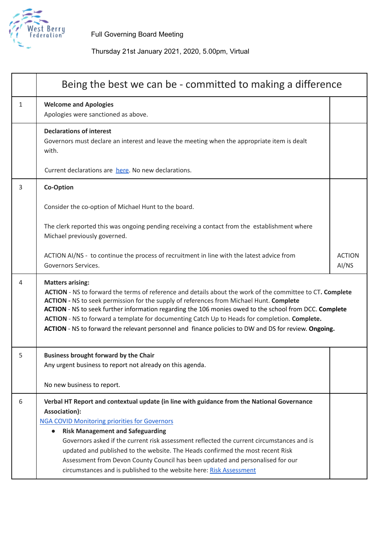

# Thursday 21st January 2021, 2020, 5.00pm, Virtual

|   | Being the best we can be - committed to making a difference                                                                                                                                                                                                                                                                                                                                                                                                                                                                                                         |                        |  |  |  |
|---|---------------------------------------------------------------------------------------------------------------------------------------------------------------------------------------------------------------------------------------------------------------------------------------------------------------------------------------------------------------------------------------------------------------------------------------------------------------------------------------------------------------------------------------------------------------------|------------------------|--|--|--|
| 1 | <b>Welcome and Apologies</b><br>Apologies were sanctioned as above.                                                                                                                                                                                                                                                                                                                                                                                                                                                                                                 |                        |  |  |  |
|   | <b>Declarations of interest</b><br>Governors must declare an interest and leave the meeting when the appropriate item is dealt<br>with.                                                                                                                                                                                                                                                                                                                                                                                                                             |                        |  |  |  |
|   | Current declarations are here. No new declarations.                                                                                                                                                                                                                                                                                                                                                                                                                                                                                                                 |                        |  |  |  |
| 3 | <b>Co-Option</b>                                                                                                                                                                                                                                                                                                                                                                                                                                                                                                                                                    |                        |  |  |  |
|   | Consider the co-option of Michael Hunt to the board.                                                                                                                                                                                                                                                                                                                                                                                                                                                                                                                |                        |  |  |  |
|   | The clerk reported this was ongoing pending receiving a contact from the establishment where<br>Michael previously governed.                                                                                                                                                                                                                                                                                                                                                                                                                                        |                        |  |  |  |
|   | ACTION AI/NS - to continue the process of recruitment in line with the latest advice from<br>Governors Services.                                                                                                                                                                                                                                                                                                                                                                                                                                                    | <b>ACTION</b><br>AI/NS |  |  |  |
| 4 | <b>Matters arising:</b><br>ACTION - NS to forward the terms of reference and details about the work of the committee to CT. Complete<br>ACTION - NS to seek permission for the supply of references from Michael Hunt. Complete<br>ACTION - NS to seek further information regarding the 106 monies owed to the school from DCC. Complete<br>ACTION - NS to forward a template for documenting Catch Up to Heads for completion. Complete.<br>ACTION - NS to forward the relevant personnel and finance policies to DW and DS for review. Ongoing.                  |                        |  |  |  |
| 5 | <b>Business brought forward by the Chair</b><br>Any urgent business to report not already on this agenda.                                                                                                                                                                                                                                                                                                                                                                                                                                                           |                        |  |  |  |
|   | No new business to report.                                                                                                                                                                                                                                                                                                                                                                                                                                                                                                                                          |                        |  |  |  |
| 6 | Verbal HT Report and contextual update (in line with guidance from the National Governance<br>Association):<br><b>NGA COVID Monitoring priorities for Governors</b><br><b>Risk Management and Safeguarding</b><br>$\bullet$<br>Governors asked if the current risk assessment reflected the current circumstances and is<br>updated and published to the website. The Heads confirmed the most recent Risk<br>Assessment from Devon County Council has been updated and personalised for our<br>circumstances and is published to the website here: Risk Assessment |                        |  |  |  |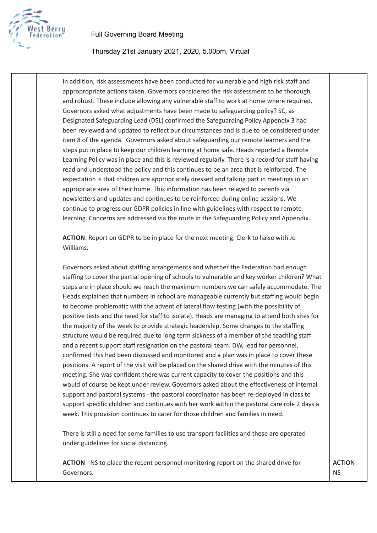

### Thursday 21st January 2021, 2020, 5.00pm, Virtual

In addition, risk assessments have been conducted for vulnerable and high risk staff and appropropriate actions taken. Governors considered the risk assessment to be thorough and robust. These include allowing any vulnerable staff to work at home where required. Governors asked what adjustments have been made to safeguarding policy? SC, as Designated Safeguarding Lead (DSL) confirmed the Safeguarding Policy Appendix 3 had been reviewed and updated to reflect our circumstances and is due to be considered under item 8 of the agenda. Governors asked about safeguarding our remote learners and the steps put in place to keep our children learning at home safe. Heads reported a Remote Learning Policy was in place and this is reviewed regularly. There is a record for staff having read and understood the policy and this continues to be an area that is reinforced. The expectation is that children are appropriately dressed and talking part in meetings in an appropriate area of their home. This information has been relayed to parents via newsletters and updates and continues to be reinforced during online sessions. We continue to progress our GDPR policies in line with guidelines with respect to remote learning. Concerns are addressed via the route in the Safeguarding Policy and Appendix.

**ACTION**: Report on GDPR to be in place for the next meeting. Clerk to liaise with Jo Williams.

Governors asked about staffing arrangements and whether the Federation had enough staffing to cover the partial opening of schools to vulnerable and key worker children? What steps are in place should we reach the maximum numbers we can safely accommodate. The Heads explained that numbers in school are manageable currently but staffing would begin to become problematic with the advent of lateral flow testing (with the possibility of positive tests and the need for staff to isolate). Heads are managing to attend both sites for the majority of the week to provide strategic leadership. Some changes to the staffing structure would be required due to long term sickness of a member of the teaching staff and a recent support staff resignation on the pastoral team. DW, lead for personnel, confirmed this had been discussed and monitored and a plan was in place to cover these positions. A report of the visit will be placed on the shared drive with the minutes of this meeting. She was confident there was current capacity to cover the positions and this would of course be kept under review. Governors asked about the effectiveness of internal support and pastoral systems - the pastoral coordinator has been re-deployed in class to support specific children and continues with her work within the pastoral care role 2 days a week. This provision continues to cater for those children and families in need.

There is still a need for some families to use transport facilities and these are operated under guidelines for social distancing.

**ACTION** - NS to place the recent personnel monitoring report on the shared drive for Governors.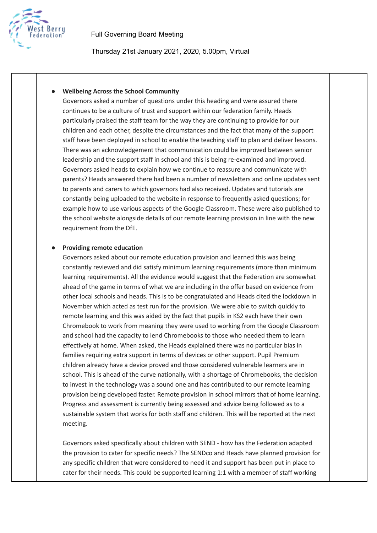

Thursday 21st January 2021, 2020, 5.00pm, Virtual

#### **● Wellbeing Across the School Community**

Governors asked a number of questions under this heading and were assured there continues to be a culture of trust and support within our federation family. Heads particularly praised the staff team for the way they are continuing to provide for our children and each other, despite the circumstances and the fact that many of the support staff have been deployed in school to enable the teaching staff to plan and deliver lessons. There was an acknowledgement that communication could be improved between senior leadership and the support staff in school and this is being re-examined and improved. Governors asked heads to explain how we continue to reassure and communicate with parents? Heads answered there had been a number of newsletters and online updates sent to parents and carers to which governors had also received. Updates and tutorials are constantly being uploaded to the website in response to frequently asked questions; for example how to use various aspects of the Google Classroom. These were also published to the school website alongside details of our remote learning provision in line with the new requirement from the DfE.

#### **● Providing remote education**

Governors asked about our remote education provision and learned this was being constantly reviewed and did satisfy minimum learning requirements (more than minimum learning requirements). All the evidence would suggest that the Federation are somewhat ahead of the game in terms of what we are including in the offer based on evidence from other local schools and heads. This is to be congratulated and Heads cited the lockdown in November which acted as test run for the provision. We were able to switch quickly to remote learning and this was aided by the fact that pupils in KS2 each have their own Chromebook to work from meaning they were used to working from the Google Classroom and school had the capacity to lend Chromebooks to those who needed them to learn effectively at home. When asked, the Heads explained there was no particular bias in families requiring extra support in terms of devices or other support. Pupil Premium children already have a device proved and those considered vulnerable learners are in school. This is ahead of the curve nationally, with a shortage of Chromebooks, the decision to invest in the technology was a sound one and has contributed to our remote learning provision being developed faster. Remote provision in school mirrors that of home learning. Progress and assessment is currently being assessed and advice being followed as to a sustainable system that works for both staff and children. This will be reported at the next meeting.

Governors asked specifically about children with SEND - how has the Federation adapted the provision to cater for specific needs? The SENDco and Heads have planned provision for any specific children that were considered to need it and support has been put in place to cater for their needs. This could be supported learning 1:1 with a member of staff working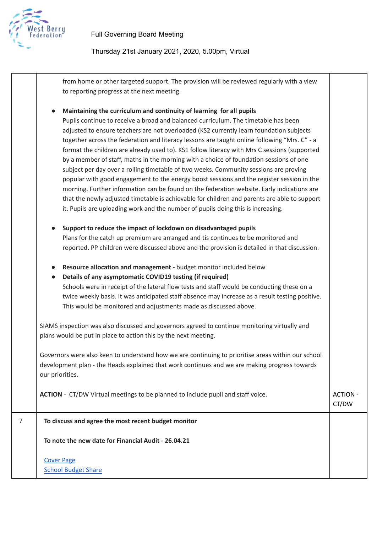

Thursday 21st January 2021, 2020, 5.00pm, Virtual

from home or other targeted support. The provision will be reviewed regularly with a view to reporting progress at the next meeting.

**● Maintaining the curriculum and continuity of learning for all pupils** Pupils continue to receive a broad and balanced curriculum. The timetable has been adjusted to ensure teachers are not overloaded (KS2 currently learn foundation subjects together across the federation and literacy lessons are taught online following "Mrs. C" - a format the children are already used to). KS1 follow literacy with Mrs C sessions (supported by a member of staff, maths in the morning with a choice of foundation sessions of one subject per day over a rolling timetable of two weeks. Community sessions are proving popular with good engagement to the energy boost sessions and the register session in the morning. Further information can be found on the federation website. Early indications are that the newly adjusted timetable is achievable for children and parents are able to support it. Pupils are uploading work and the number of pupils doing this is increasing. **● Support to reduce the impact of lockdown on disadvantaged pupils** Plans for the catch up premium are arranged and tis continues to be monitored and reported. PP children were discussed above and the provision is detailed in that discussion. **● Resource allocation and management -** budget monitor included below **● Details of any asymptomatic COVID19 testing (if required)** Schools were in receipt of the lateral flow tests and staff would be conducting these on a twice weekly basis. It was anticipated staff absence may increase as a result testing positive. This would be monitored and adjustments made as discussed above. SIAMS inspection was also discussed and governors agreed to continue monitoring virtually and plans would be put in place to action this by the next meeting. Governors were also keen to understand how we are continuing to prioritise areas within our school development plan - the Heads explained that work continues and we are making progress towards our priorities. **ACTION** - CT/DW Virtual meetings to be planned to include pupil and staff voice. ACTION -CT/DW 7 **To discuss and agree the most recent budget monitor To note the new date for Financial Audit - 26.04.21**

[Cover](https://drive.google.com/file/d/1Y3Jad1R575zTv_jsOj6hWg-DrQjctPky/view?usp=sharing) Page **School [Budget](https://drive.google.com/file/d/1BO0m4xMybjS549kW129PjvzhpBD-cBQm/view?usp=sharing) Share**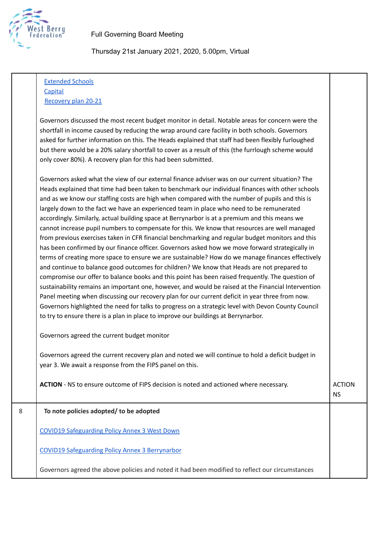

Thursday 21st January 2021, 2020, 5.00pm, Virtual

[Extended](https://drive.google.com/file/d/19As9brMNmMUwWjjqfWNlTdekL09f_gLd/view?usp=sharing) Schools **[Capital](https://drive.google.com/file/d/1XOqSv42Nl9_Fer9DHP8KH49fTyWnbTr-/view?usp=sharing)** 

[Recovery](https://drive.google.com/file/d/1gcTYC6N4QP1ifClzBaPdhOzbAyd0b2EX/view?usp=sharing) plan 20-21

Governors discussed the most recent budget monitor in detail. Notable areas for concern were the shortfall in income caused by reducing the wrap around care facility in both schools. Governors asked for further information on this. The Heads explained that staff had been flexibly furloughed but there would be a 20% salary shortfall to cover as a result of this (the furrlough scheme would only cover 80%). A recovery plan for this had been submitted.

Governors asked what the view of our external finance adviser was on our current situation? The Heads explained that time had been taken to benchmark our individual finances with other schools and as we know our staffing costs are high when compared with the number of pupils and this is largely down to the fact we have an experienced team in place who need to be remunerated accordingly. Similarly, actual building space at Berrynarbor is at a premium and this means we cannot increase pupil numbers to compensate for this. We know that resources are well managed from previous exercises taken in CFR financial benchmarking and regular budget monitors and this has been confirmed by our finance officer. Governors asked how we move forward strategically in terms of creating more space to ensure we are sustainable? How do we manage finances effectively and continue to balance good outcomes for children? We know that Heads are not prepared to compromise our offer to balance books and this point has been raised frequently. The question of sustainability remains an important one, however, and would be raised at the Financial Intervention Panel meeting when discussing our recovery plan for our current deficit in year three from now. Governors highlighted the need for talks to progress on a strategic level with Devon County Council to try to ensure there is a plan in place to improve our buildings at Berrynarbor.

Governors agreed the current budget monitor

Governors agreed the current recovery plan and noted we will continue to hold a deficit budget in year 3. We await a response from the FIPS panel on this.

**ACTION** - NS to ensure outcome of FIPS decision is noted and actioned where necessary.

NS

# 8 **To note policies adopted/ to be adopted**

COVID19 [Safeguarding](https://drive.google.com/file/d/1O7rsnQvO5oStOV-6l6tOQLPzqlCmV69_/view?usp=sharing) Policy Annex 3 West Down

COVID19 [Safeguarding](https://drive.google.com/file/d/1Sj3MwmDSDuOqG8zh8hnuzTkMXyaeeZVZ/view?usp=sharing) Policy Annex 3 Berrynarbor

Governors agreed the above policies and noted it had been modified to reflect our circumstances